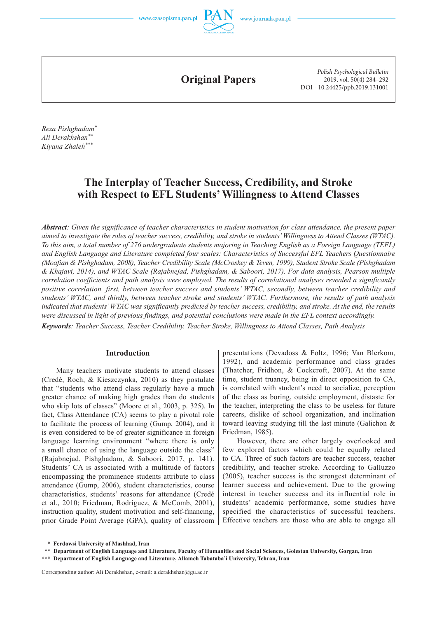

**Original Papers**

*Polish Psychological Bulletin* 2019, vol. 50(4) 284–292 DOI - 10.24425/ppb.2019.131001

*Reza Pishghadam\* Ali Derakhshan\*\* Kiyana Zhaleh\*\*\**

# **The Interplay of Teacher Success, Credibility, and Stroke with Respect to EFL Students' Willingness to Attend Classes**

*Abstract: Given the significance of teacher characteristics in student motivation for class attendance, the present paper aimed to investigate the roles of teacher success, credibility, and stroke in students' Willingness to Attend Classes (WTAC). To this aim, a total number of 276 undergraduate students majoring in Teaching English as a Foreign Language (TEFL) and English Language and Literature completed four scales: Characteristics of Successful EFL Teachers Questionnaire (Moafian & Pishghadam, 2008), Teacher Credibility Scale (McCroskey & Teven, 1999), Student Stroke Scale (Pishghadam & Khajavi, 2014), and WTAC Scale (Rajabnejad, Pishghadam, & Saboori, 2017). For data analysis, Pearson multiple correlation coefficients and path analysis were employed. The results of correlational analyses revealed a significantly positive correlation, first, between teacher success and students' WTAC, secondly, between teacher credibility and students' WTAC, and thirdly, between teacher stroke and students' WTAC. Furthermore, the results of path analysis indicated that students' WTAC was significantly predicted by teacher success, credibility, and stroke. At the end, the results were discussed in light of previous findings, and potential conclusions were made in the EFL context accordingly.* 

*Keywords: Teacher Success, Teacher Credibility, Teacher Stroke, Willingness to Attend Classes, Path Analysis*

# **Introduction**

Many teachers motivate students to attend classes (Credé, Roch, & Kieszczynka, 2010) as they postulate that "students who attend class regularly have a much greater chance of making high grades than do students who skip lots of classes" (Moore et al., 2003, p. 325). In fact, Class Attendance (CA) seems to play a pivotal role to facilitate the process of learning (Gump, 2004), and it is even considered to be of greater significance in foreign language learning environment "where there is only a small chance of using the language outside the class" (Rajabnejad, Pishghadam, & Saboori, 2017, p. 141). Students' CA is associated with a multitude of factors encompassing the prominence students attribute to class attendance (Gump, 2006), student characteristics, course characteristics, students' reasons for attendance (Credé et al., 2010; Friedman, Rodriguez, & McComb, 2001), instruction quality, student motivation and self-financing, prior Grade Point Average (GPA), quality of classroom

presentations (Devadoss & Foltz, 1996; Van Blerkom, 1992), and academic performance and class grades (Thatcher, Fridhon, & Cockcroft, 2007). At the same time, student truancy, being in direct opposition to CA, is correlated with student's need to socialize, perception of the class as boring, outside employment, distaste for the teacher, interpreting the class to be useless for future careers, dislike of school organization, and inclination toward leaving studying till the last minute (Galichon & Friedman, 1985).

However, there are other largely overlooked and few explored factors which could be equally related to CA. Three of such factors are teacher success, teacher credibility, and teacher stroke. According to Galluzzo (2005), teacher success is the strongest determinant of learner success and achievement. Due to the growing interest in teacher success and its influential role in students' academic performance, some studies have specified the characteristics of successful teachers. Effective teachers are those who are able to engage all

 **<sup>\*</sup> Ferdowsi University of Mashhad, Iran**

 **<sup>\*\*</sup> Department of English Language and Literature, Faculty of Humanities and Social Sciences, Golestan University, Gorgan, Iran**

**<sup>\*\*\*</sup> Department of English Language and Literature, Allameh Tabataba'i University, Tehran, Iran**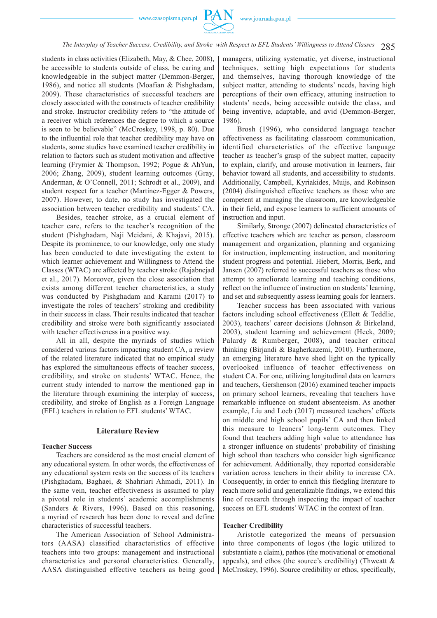

285 *The Interplay of Teacher Success, Credibility, and Stroke with Respect to EFL Students' Willingness to Attend Classes*

students in class activities (Elizabeth, May, & Chee, 2008), be accessible to students outside of class, be caring and knowledgeable in the subject matter (Demmon-Berger, 1986), and notice all students (Moafian & Pishghadam, 2009). These characteristics of successful teachers are closely associated with the constructs of teacher credibility and stroke. Instructor credibility refers to "the attitude of a receiver which references the degree to which a source is seen to be believable" (McCroskey, 1998, p. 80). Due to the influential role that teacher credibility may have on students, some studies have examined teacher credibility in relation to factors such as student motivation and affective learning (Frymier & Thompson, 1992; Pogue & AhYun, 2006; Zhang, 2009), student learning outcomes (Gray, Anderman, & O'Connell, 2011; Schrodt et al., 2009), and student respect for a teacher (Martinez-Egger & Powers, 2007). However, to date, no study has investigated the association between teacher credibility and students' CA.

Besides, teacher stroke, as a crucial element of teacher care, refers to the teacher's recognition of the student (Pishghadam, Naji Meidani, & Khajavi, 2015). Despite its prominence, to our knowledge, only one study has been conducted to date investigating the extent to which learner achievement and Willingness to Attend the Classes (WTAC) are affected by teacher stroke (Rajabnejad et al., 2017). Moreover, given the close association that exists among different teacher characteristics, a study was conducted by Pishghadam and Karami (2017) to investigate the roles of teachers' stroking and credibility in their success in class. Their results indicated that teacher credibility and stroke were both significantly associated with teacher effectiveness in a positive way.

All in all, despite the myriads of studies which considered various factors impacting student CA, a review of the related literature indicated that no empirical study has explored the simultaneous effects of teacher success, credibility, and stroke on students' WTAC. Hence, the current study intended to narrow the mentioned gap in the literature through examining the interplay of success, credibility, and stroke of English as a Foreign Language (EFL) teachers in relation to EFL students' WTAC.

# **Literature Review**

#### **Teacher Success**

Teachers are considered as the most crucial element of any educational system. In other words, the effectiveness of any educational system rests on the success of its teachers (Pishghadam, Baghaei, & Shahriari Ahmadi, 2011). In the same vein, teacher effectiveness is assumed to play a pivotal role in students' academic accomplishments (Sanders & Rivers, 1996). Based on this reasoning, a myriad of research has been done to reveal and define characteristics of successful teachers.

The American Association of School Administrators (AASA) classified characteristics of effective teachers into two groups: management and instructional characteristics and personal characteristics. Generally, AASA distinguished effective teachers as being good

managers, utilizing systematic, yet diverse, instructional techniques, setting high expectations for students and themselves, having thorough knowledge of the subject matter, attending to students' needs, having high perceptions of their own efficacy, attuning instruction to students' needs, being accessible outside the class, and being inventive, adaptable, and avid (Demmon-Berger, 1986).

Brosh (1996), who considered language teacher effectiveness as facilitating classroom communication, identified characteristics of the effective language teacher as teacher's grasp of the subject matter, capacity to explain, clarify, and arouse motivation in learners, fair behavior toward all students, and accessibility to students. Additionally, Campbell, Kyriakides, Muijs, and Robinson (2004) distinguished effective teachers as those who are competent at managing the classroom, are knowledgeable in their field, and expose learners to sufficient amounts of instruction and input.

Similarly, Stronge (2007) delineated characteristics of effective teachers which are teacher as person, classroom management and organization, planning and organizing for instruction, implementing instruction, and monitoring student progress and potential. Hiebert, Morris, Berk, and Jansen (2007) referred to successful teachers as those who attempt to ameliorate learning and teaching conditions, reflect on the influence of instruction on students' learning, and set and subsequently assess learning goals for learners.

Teacher success has been associated with various factors including school effectiveness (Ellett & Teddlie, 2003), teachers' career decisions (Johnson & Birkeland, 2003), student learning and achievement (Heck, 2009; Palardy & Rumberger, 2008), and teacher critical thinking (Birjandi & Bagherkazemi, 2010). Furthermore, an emerging literature have shed light on the typically overlooked influence of teacher effectiveness on student CA. For one, utilizing longitudinal data on learners and teachers, Gershenson (2016) examined teacher impacts on primary school learners, revealing that teachers have remarkable influence on student absenteeism. As another example, Liu and Loeb (2017) measured teachers' effects on middle and high school pupils' CA and then linked this measure to leaners' long-term outcomes. They found that teachers adding high value to attendance has a stronger influence on students' probability of finishing high school than teachers who consider high significance for achievement. Additionally, they reported considerable variation across teachers in their ability to increase CA. Consequently, in order to enrich this fledgling literature to reach more solid and generalizable findings, we extend this line of research through inspecting the impact of teacher success on EFL students' WTAC in the context of Iran.

# **Teacher Credibility**

Aristotle categorized the means of persuasion into three components of logos (the logic utilized to substantiate a claim), pathos (the motivational or emotional appeals), and ethos (the source's credibility) (Thweatt  $\&$ McCroskey, 1996). Source credibility or ethos, specifically,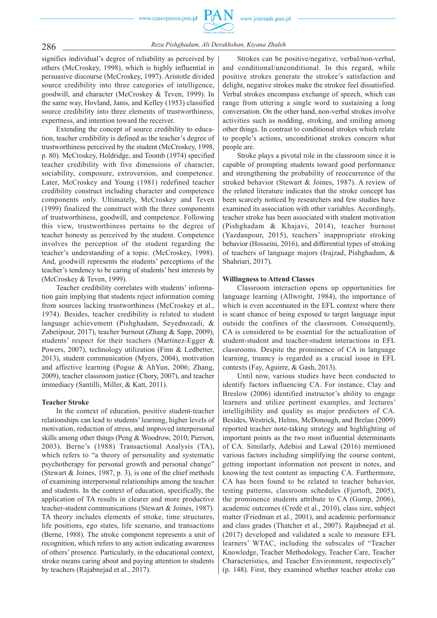

# 286 *Reza Pishghadam, Ali Derakhshan, Kiyana Zhaleh*

signifies individual's degree of reliability as perceived by others (McCroskey, 1998), which is highly influential in persuasive discourse (McCroskey, 1997). Aristotle divided source credibility into three categories of intelligence, goodwill, and character (McCroskey & Teven, 1999). In the same way, Hovland, Janis, and Kelley (1953) classified source credibility into three elements of trustworthiness, expertness, and intention toward the receiver.

Extending the concept of source credibility to education, teacher credibility is defined as the teacher's degree of trustworthiness perceived by the student (McCroskey, 1998, p. 80). McCroskey, Holdridge, and Toomb (1974) specified teacher credibility with five dimensions of character, sociability, composure, extroversion, and competence. Later, McCroskey and Young (1981) redefined teacher credibility construct including character and competence components only. Ultimately, McCroskey and Teven (1999) finalized the construct with the three components of trustworthiness, goodwill, and competence. Following this view, trustworthiness pertains to the degree of teacher honesty as perceived by the student. Competence involves the perception of the student regarding the teacher's understanding of a topic. (McCroskey, 1998). And, goodwill represents the students' perceptions of the teacher's tendency to be caring of students' best interests by (McCroskey & Teven, 1999).

Teacher credibility correlates with students' information gain implying that students reject information coming from sources lacking trustworthiness (McCroskey et al., 1974). Besides, teacher credibility is related to student language achievement (Pishghadam, Seyednozadi, & Zabetipour, 2017), teacher burnout (Zhang & Sapp, 2009), students' respect for their teachers (Martinez-Egger & Powers, 2007), technology utilization (Finn & Ledbetter, 2013), student communication (Myers, 2004), motivation and affective learning (Pogue & AhYun, 2006; Zhang, 2009), teacher classroom justice (Chory, 2007), and teacher immediacy (Santilli, Miller, & Katt, 2011).

# **Teacher Stroke**

In the context of education, positive student-teacher relationships can lead to students' learning, higher levels of motivation, reduction of stress, and improved interpersonal skills among other things (Peng & Woodrow, 2010; Pierson, 2003). Berne's (1988) Transactional Analysis (TA), which refers to "a theory of personality and systematic psychotherapy for personal growth and personal change" (Stewart & Joines, 1987, p. 3), is one of the chief methods of examining interpersonal relationships among the teacher and students. In the context of education, specifically, the application of TA results in clearer and more productive teacher-student communications (Stewart & Joines, 1987). TA theory includes elements of stroke, time structures, life positions, ego states, life scenario, and transactions (Berne, 1988). The stroke component represents a unit of recognition, which refers to any action indicating awareness of others' presence. Particularly, in the educational context, stroke means caring about and paying attention to students by teachers (Rajabnejad et al., 2017).

Strokes can be positive/negative, verbal/non-verbal, and conditional/unconditional. In this regard, while positive strokes generate the strokee's satisfaction and delight, negative strokes make the strokee feel dissatisfied. Verbal strokes encompass exchange of speech, which can range from uttering a single word to sustaining a long conversation. On the other hand, non-verbal strokes involve activities such as nodding, stroking, and smiling among other things. In contrast to conditional strokes which relate to people's actions, unconditional strokes concern what people are.

Stroke plays a pivotal role in the classroom since it is capable of prompting students toward good performance and strengthening the probability of reoccurrence of the stroked behavior (Stewart & Joines, 1987). A review of the related literature indicates that the stroke concept has been scarcely noticed by researchers and few studies have examined its association with other variables. Accordingly, teacher stroke has been associated with student motivation (Pishghadam & Khajavi, 2014), teacher burnout (Yazdanpour, 2015), teachers' inappropriate stroking behavior (Hosseini, 2016), and differential types of stroking of teachers of language majors (Irajzad, Pishghadam, & Shahriari, 2017).

#### **Willingness to Attend Classes**

Classroom interaction opens up opportunities for language learning (Allwright, 1984), the importance of which is even accentuated in the EFL context where there is scant chance of being exposed to target language input outside the confines of the classroom. Consequently, CA is considered to be essential for the actualization of student-student and teacher-student interactions in EFL classrooms. Despite the prominence of CA in language learning, truancy is regarded as a crucial issue in EFL contexts (Fay, Aguirre, & Gash, 2013).

Until now, various studies have been conducted to identify factors influencing CA. For instance, Clay and Breslow (2006) identified instructor's ability to engage learners and utilize pertinent examples, and lectures' intelligibility and quality as major predictors of CA. Besides, Westrick, Helms, McDonough, and Brelan (2009) reported teacher note-taking strategy and highlighting of important points as the two most influential determinants of CA. Similarly, Adebisi and Lawal (2016) mentioned various factors including simplifying the course content, getting important information not present in notes, and knowing the test content as impacting CA. Furthermore, CA has been found to be related to teacher behavior, testing patterns, classroom schedules (Fjortoft, 2005), the prominence students attribute to CA (Gump, 2006), academic outcomes (Credé et al., 2010), class size, subject matter (Friedman et al., 2001), and academic performance and class grades (Thatcher et al., 2007). Rajabnejad et al. (2017) developed and validated a scale to measure EFL learners' WTAC, including the subscales of "Teacher Knowledge, Teacher Methodology, Teacher Care, Teacher Characteristics, and Teacher Environment, respectively" (p. 148). First, they examined whether teacher stroke can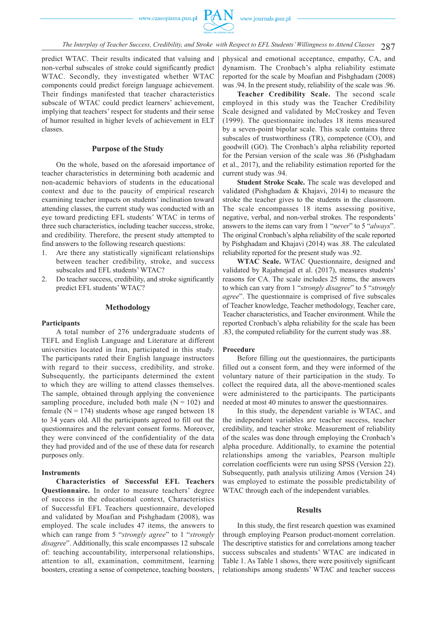287 *The Interplay of Teacher Success, Credibility, and Stroke with Respect to EFL Students' Willingness to Attend Classes*

predict WTAC. Their results indicated that valuing and non-verbal subscales of stroke could significantly predict WTAC. Secondly, they investigated whether WTAC components could predict foreign language achievement. Their findings manifested that teacher characteristics subscale of WTAC could predict learners' achievement, implying that teachers' respect for students and their sense of humor resulted in higher levels of achievement in ELT classes.

# **Purpose of the Study**

On the whole, based on the aforesaid importance of teacher characteristics in determining both academic and non-academic behaviors of students in the educational context and due to the paucity of empirical research examining teacher impacts on students' inclination toward attending classes, the current study was conducted with an eye toward predicting EFL students' WTAC in terms of three such characteristics, including teacher success, stroke, and credibility. Therefore, the present study attempted to find answers to the following research questions:

- 1. Are there any statistically significant relationships between teacher credibility, stroke, and success subscales and EFL students' WTAC?
- 2. Do teacher success, credibility, and stroke significantly predict EFL students' WTAC?

# **Methodology**

# **Participants**

A total number of 276 undergraduate students of TEFL and English Language and Literature at different universities located in Iran, participated in this study. The participants rated their English language instructors with regard to their success, credibility, and stroke. Subsequently, the participants determined the extent to which they are willing to attend classes themselves. The sample, obtained through applying the convenience sampling procedure, included both male  $(N = 102)$  and female ( $N = 174$ ) students whose age ranged between 18 to 34 years old. All the participants agreed to fill out the questionnaires and the relevant consent forms. Moreover, they were convinced of the confidentiality of the data they had provided and of the use of these data for research purposes only.

# **Instruments**

**Characteristics of Successful EFL Teachers Questionnaire.** In order to measure teachers' degree of success in the educational context, Characteristics of Successful EFL Teachers questionnaire, developed and validated by Moafian and Pishghadam (2008), was employed. The scale includes 47 items, the answers to which can range from 5 "*strongly agree*" to 1 "*strongly disagree*". Additionally, this scale encompasses 12 subscale of: teaching accountability, interpersonal relationships, attention to all, examination, commitment, learning boosters, creating a sense of competence, teaching boosters, physical and emotional acceptance, empathy, CA, and dynamism. The Cronbach's alpha reliability estimate reported for the scale by Moafian and Pishghadam (2008) was .94. In the present study, reliability of the scale was .96.

**Teacher Credibility Scale.** The second scale employed in this study was the Teacher Credibility Scale designed and validated by McCroskey and Teven (1999). The questionnaire includes 18 items measured by a seven-point bipolar scale. This scale contains three subscales of trustworthiness (TR), competence (CO), and goodwill (GO). The Cronbach's alpha reliability reported for the Persian version of the scale was .86 (Pishghadam et al., 2017), and the reliability estimation reported for the current study was .94.

**Student Stroke Scale.** The scale was developed and validated (Pishghadam & Khajavi, 2014) to measure the stroke the teacher gives to the students in the classroom. The scale encompasses 18 items assessing positive, negative, verbal, and non-verbal strokes. The respondents' answers to the items can vary from 1 "*never*" to 5 "*always*". The original Cronbach's alpha reliability of the scale reported by Pishghadam and Khajavi (2014) was .88. The calculated reliability reported for the present study was .92.

**WTAC Scale.** WTAC Questionnaire, designed and validated by Rajabnejad et al. (2017), measures students' reasons for CA. The scale includes 25 items, the answers to which can vary from 1 "*strongly disagree*" to 5 "*strongly agree*". The questionnaire is comprised of five subscales of Teacher knowledge, Teacher methodology, Teacher care, Teacher characteristics, and Teacher environment. While the reported Cronbach's alpha reliability for the scale has been .83, the computed reliability for the current study was .88.

# **Procedure**

Before filling out the questionnaires, the participants filled out a consent form, and they were informed of the voluntary nature of their participation in the study. To collect the required data, all the above-mentioned scales were administered to the participants. The participants needed at most 40 minutes to answer the questionnaires.

In this study, the dependent variable is WTAC, and the independent variables are teacher success, teacher credibility, and teacher stroke. Measurement of reliability of the scales was done through employing the Cronbach's alpha procedure. Additionally, to examine the potential relationships among the variables, Pearson multiple correlation coefficients were run using SPSS (Version 22). Subsequently, path analysis utilizing Amos (Version 24) was employed to estimate the possible predictability of WTAC through each of the independent variables.

# **Results**

In this study, the first research question was examined through employing Pearson product-moment correlation. The descriptive statistics for and correlations among teacher success subscales and students' WTAC are indicated in Table 1. As Table 1 shows, there were positively significant relationships among students' WTAC and teacher success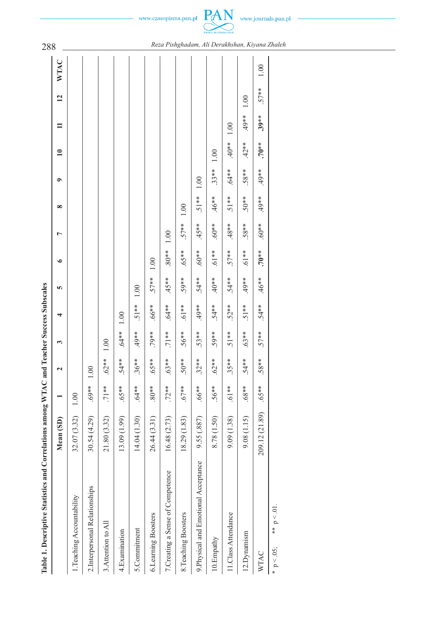$-$  www.czasopisma.pan.pl  $\underbrace{PAN}_{\text{reas.axanen} \text{varax}}$  www.journals.pan.pl  $-$ 

| Table 1. Descriptive Statistics and Correlations among WTAC and Teacher Success Subscales |                      |           |          |         |          |          |          |         |          |           |              |          |                 |      | 288                                            |
|-------------------------------------------------------------------------------------------|----------------------|-----------|----------|---------|----------|----------|----------|---------|----------|-----------|--------------|----------|-----------------|------|------------------------------------------------|
|                                                                                           | Mean <sub>(SD)</sub> |           |          | 3       | 4        | 5        | ৩        | Ļ       | $\infty$ | $\bullet$ | $\mathbf{r}$ |          | $\overline{12}$ | WTAC |                                                |
| 1. Teaching Accountability                                                                | 32.07 (3.32)         | 1.00      |          |         |          |          |          |         |          |           |              |          |                 |      |                                                |
| 2. Interpersonal Relationships                                                            | 30.54 (4.29)         | $*869.$   | 1.00     |         |          |          |          |         |          |           |              |          |                 |      |                                                |
| 3. Attention to All                                                                       | 21.80 (3.32)         | $.71**$   | $.62***$ | 1.00    |          |          |          |         |          |           |              |          |                 |      |                                                |
| 4.Examination                                                                             | 13.09(1.99)          | $65**$    | 54**     | $.64**$ | 1.00     |          |          |         |          |           |              |          |                 |      |                                                |
| 5.Commitment                                                                              | 14.04 (1.30)         | $.64***$  | $.36***$ | $*80*$  | $.51**$  | $1.00\,$ |          |         |          |           |              |          |                 |      |                                                |
| 6.Learning Boosters                                                                       | 26.44 (3.31)         | $*80*$    | .65**    | .79**   | $*899$ . | $.57***$ | $1.00\,$ |         |          |           |              |          |                 |      |                                                |
| 7. Creating a Sense of Competence                                                         | 16.48 (2.73)         | $.72***$  | .63**    | $.71**$ | $.64***$ | $45**$   | $*80*$   | 1.00    |          |           |              |          |                 |      |                                                |
| 8. Teaching Boosters                                                                      | 18.29 (1.83)         | $.67**$   | $50**$   | $.56**$ | $**19$ . | .59**    | .65**    | $.57**$ | 1.00     |           |              |          |                 |      |                                                |
| 9. Physical and Emotional Acceptance                                                      | 9.55 (.887)          | $*899.$   | $.32***$ | $.53**$ | $*80*$   | $.54***$ | $.60**$  | $45**$  | $-51**$  | $1.00\,$  |              |          |                 |      |                                                |
| 10. Empathy                                                                               | 8.78 (1.50)          | $.56**$   | $.62**$  | 59**    | $.54***$ | $*804.$  | $.61**$  | $*809.$ | $46**$   | $.33**$   | 1.00         |          |                 |      |                                                |
| 11.Class Attendance                                                                       | 9.09 (1.38)          | $*$ 19.   | $35**$   | $.51**$ | $.52***$ | $.54**$  | $.57**$  | $488**$ | $.51**$  | $.64***$  | $*80*$       | 1.00     |                 |      |                                                |
| 12. Dynamism                                                                              | 9.08(1.15)           | $***89$ . | 54**     | $.63**$ | $.51**$  | $*80*$   | $.61**$  | $58***$ | $50**$   | $.58**$   | $42**$       | $49**$   | 1.00            |      |                                                |
| WTAC                                                                                      | 209.12 (21.89)       | $65**$    | $.58**$  | $.57**$ | $.54***$ | $46**$   | $.70**$  | $*809.$ | $*867$   | $49**$    | $.70**$      | $.39***$ | $.57***$        | 1.00 |                                                |
| ** $p < 01$ .<br>$p < 0.05$ ;                                                             |                      |           |          |         |          |          |          |         |          |           |              |          |                 |      | Reza Pishghadam, Ali Derakhshan, Kiyana Zhaleh |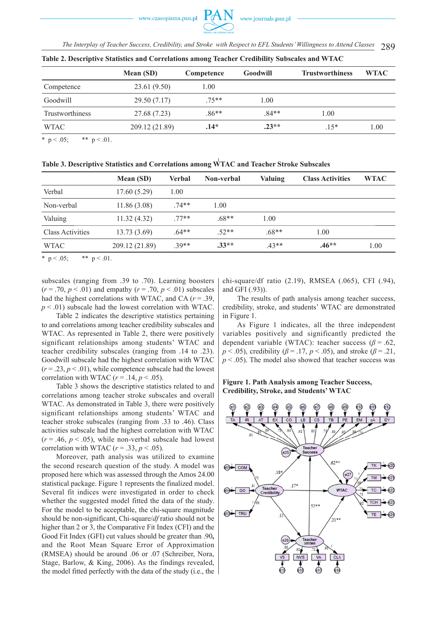289 *The Interplay of Teacher Success, Credibility, and Stroke with Respect to EFL Students' Willingness to Attend Classes*

|                 | Mean (SD)      | Competence | <b>Goodwill</b> | <b>Trustworthiness</b> | <b>WTAC</b> |
|-----------------|----------------|------------|-----------------|------------------------|-------------|
| Competence      | 23.61 (9.50)   | 1.00       |                 |                        |             |
| Goodwill        | 29.50 (7.17)   | $.75***$   | l.00            |                        |             |
| Trustworthiness | 27.68 (7.23)   | $.86**$    | $.84**$         | 1.00                   |             |
| <b>WTAC</b>     | 209.12 (21.89) | $.14*$     | $.23**$         | $15*$                  | 1.00        |

**Table 2. Descriptive Statistics and Correlations among Teacher Credibility Subscales and WTAC**

\*  $p < .05$ ; \*\*  $p < .01$ .

**Table 3. Descriptive Statistics and Correlations among WTAC and Teacher Stroke Subscales** 

|                         | Mean (SD)      | <b>Verbal</b> | <b>Non-verbal</b> | <b>Valuing</b> | <b>Class Activities</b> | <b>WTAC</b> |
|-------------------------|----------------|---------------|-------------------|----------------|-------------------------|-------------|
| Verbal                  | 17.60(5.29)    | 1.00          |                   |                |                         |             |
| Non-verbal              | 11.86(3.08)    | 74**          | 1.00              |                |                         |             |
| Valuing                 | 11.32(4.32)    | $77**$        | $.68**$           | 1.00           |                         |             |
| <b>Class Activities</b> | 13.73(3.69)    | $.64**$       | $.52**$           | $.68**$        | 1.00                    |             |
| <b>WTAC</b>             | 209.12 (21.89) | $.39**$       | $.33**$           | $.43**$        | $.46**$                 | 1.00        |

\* p < .05; \*\* p < .01.

subscales (ranging from .39 to .70). Learning boosters  $(r = .70, p < .01)$  and empathy  $(r = .70, p < .01)$  subscales had the highest correlations with WTAC, and CA (*r* = .39,  $p < .01$ ) subscale had the lowest correlation with WTAC.

Table 2 indicates the descriptive statistics pertaining to and correlations among teacher credibility subscales and WTAC. As represented in Table 2, there were positively significant relationships among students' WTAC and teacher credibility subscales (ranging from .14 to .23). Goodwill subscale had the highest correlation with WTAC  $(r = .23, p < .01)$ , while competence subscale had the lowest correlation with WTAC  $(r = .14, p < .05)$ .

Table 3 shows the descriptive statistics related to and correlations among teacher stroke subscales and overall WTAC. As demonstrated in Table 3, there were positively significant relationships among students' WTAC and teacher stroke subscales (ranging from .33 to .46). Class activities subscale had the highest correlation with WTAC  $(r = .46, p < .05)$ , while non-verbal subscale had lowest correlation with WTAC  $(r = .33, p < .05)$ .

Moreover, path analysis was utilized to examine the second research question of the study. A model was proposed here which was assessed through the Amos 24.00 statistical package. Figure 1 represents the finalized model. Several fit indices were investigated in order to check whether the suggested model fitted the data of the study. For the model to be acceptable, the chi-square magnitude should be non-significant, Chi-square/*df* ratio should not be higher than 2 or 3, the Comparative Fit Index (CFI) and the Good Fit Index (GFI) cut values should be greater than .90**,**  and the Root Mean Square Error of Approximation (RMSEA) should be around .06 or .07 (Schreiber, Nora, Stage, Barlow, & King, 2006). As the findings revealed, the model fitted perfectly with the data of the study (i.e., the chi-square/df ratio (2.19), RMSEA (.065), CFI (.94), and GFI (.93)).

The results of path analysis among teacher success, credibility, stroke, and students' WTAC are demonstrated in Figure 1.

As Figure 1 indicates, all the three independent variables positively and significantly predicted the dependent variable (WTAC): teacher success ( $\beta$  = .62, *p* < .05), credibility ( $\beta$  = .17, *p* < .05), and stroke ( $\beta$  = .21,  $p < .05$ ). The model also showed that teacher success was

# **Figure 1. Path Analysis among Teacher Success, Credibility, Stroke, and Students' WTAC**

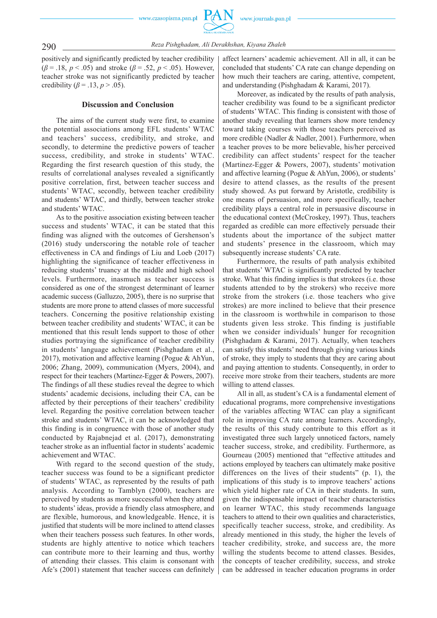290 *Reza Pishghadam, Ali Derakhshan, Kiyana Zhaleh*

positively and significantly predicted by teacher credibility (*β* = .18, *p* < .05) and stroke (*β* = .52, *p* < .05). However, teacher stroke was not significantly predicted by teacher credibility ( $\beta$  = .13,  $p$  > .05).

#### **Discussion and Conclusion**

The aims of the current study were first, to examine the potential associations among EFL students' WTAC and teachers' success, credibility, and stroke, and secondly, to determine the predictive powers of teacher success, credibility, and stroke in students' WTAC. Regarding the first research question of this study, the results of correlational analyses revealed a significantly positive correlation, first, between teacher success and students' WTAC, secondly, between teacher credibility and students' WTAC, and thirdly, between teacher stroke and students' WTAC.

As to the positive association existing between teacher success and students' WTAC, it can be stated that this finding was aligned with the outcomes of Gershenson's (2016) study underscoring the notable role of teacher effectiveness in CA and findings of Liu and Loeb (2017) highlighting the significance of teacher effectiveness in reducing students' truancy at the middle and high school levels. Furthermore, inasmuch as teacher success is considered as one of the strongest determinant of learner academic success (Galluzzo, 2005), there is no surprise that students are more prone to attend classes of more successful teachers. Concerning the positive relationship existing between teacher credibility and students' WTAC, it can be mentioned that this result lends support to those of other studies portraying the significance of teacher credibility in students' language achievement (Pishghadam et al., 2017), motivation and affective learning (Pogue & AhYun, 2006; Zhang, 2009), communication (Myers, 2004), and respect for their teachers (Martinez-Egger & Powers, 2007). The findings of all these studies reveal the degree to which students' academic decisions, including their CA, can be affected by their perceptions of their teachers' credibility level. Regarding the positive correlation between teacher stroke and students' WTAC, it can be acknowledged that this finding is in congruence with those of another study conducted by Rajabnejad et al. (2017), demonstrating teacher stroke as an influential factor in students' academic achievement and WTAC.

With regard to the second question of the study, teacher success was found to be a significant predictor of students' WTAC, as represented by the results of path analysis. According to Tamblyn (2000), teachers are perceived by students as more successful when they attend to students' ideas, provide a friendly class atmosphere, and are flexible, humorous, and knowledgeable. Hence, it is justified that students will be more inclined to attend classes when their teachers possess such features. In other words, students are highly attentive to notice which teachers can contribute more to their learning and thus, worthy of attending their classes. This claim is consonant with Afe's (2001) statement that teacher success can definitely affect learners' academic achievement. All in all, it can be concluded that students' CA rate can change depending on how much their teachers are caring, attentive, competent, and understanding (Pishghadam & Karami, 2017).

Moreover, as indicated by the results of path analysis, teacher credibility was found to be a significant predictor of students' WTAC. This finding is consistent with those of another study revealing that learners show more tendency toward taking courses with those teachers perceived as more credible (Nadler & Nadler, 2001). Furthermore, when a teacher proves to be more believable, his/her perceived credibility can affect students' respect for the teacher (Martinez-Egger & Powers, 2007), students' motivation and affective learning (Pogue & AhYun, 2006), or students' desire to attend classes, as the results of the present study showed. As put forward by Aristotle, credibility is one means of persuasion, and more specifically, teacher credibility plays a central role in persuasive discourse in the educational context (McCroskey, 1997). Thus, teachers regarded as credible can more effectively persuade their students about the importance of the subject matter and students' presence in the classroom, which may subsequently increase students' CA rate.

Furthermore, the results of path analysis exhibited that students' WTAC is significantly predicted by teacher stroke. What this finding implies is that strokees (i.e. those students attended to by the strokers) who receive more stroke from the strokers (i.e. those teachers who give strokes) are more inclined to believe that their presence in the classroom is worthwhile in comparison to those students given less stroke. This finding is justifiable when we consider individuals' hunger for recognition (Pishghadam & Karami, 2017). Actually, when teachers can satisfy this students' need through giving various kinds of stroke, they imply to students that they are caring about and paying attention to students. Consequently, in order to receive more stroke from their teachers, students are more willing to attend classes.

All in all, as student's CA is a fundamental element of educational programs, more comprehensive investigations of the variables affecting WTAC can play a significant role in improving CA rate among learners. Accordingly, the results of this study contribute to this effort as it investigated three such largely unnoticed factors, namely teacher success, stroke, and credibility. Furthermore, as Gourneau (2005) mentioned that "effective attitudes and actions employed by teachers can ultimately make positive differences on the lives of their students" (p. 1), the implications of this study is to improve teachers' actions which yield higher rate of CA in their students. In sum, given the indispensable impact of teacher characteristics on learner WTAC, this study recommends language teachers to attend to their own qualities and characteristics, specifically teacher success, stroke, and credibility. As already mentioned in this study, the higher the levels of teacher credibility, stroke, and success are, the more willing the students become to attend classes. Besides, the concepts of teacher credibility, success, and stroke can be addressed in teacher education programs in order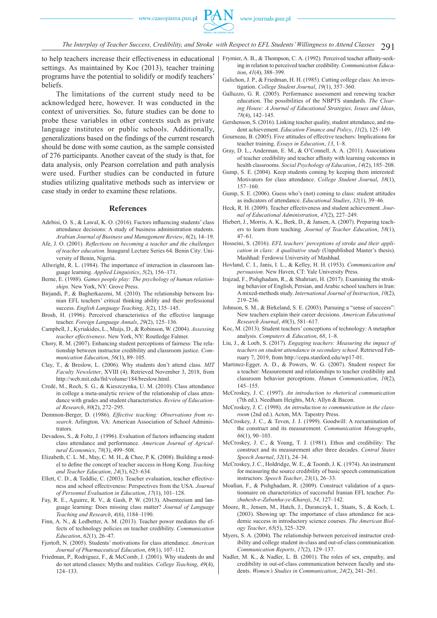

The Interplay of Teacher Success, Credibility, and Stroke with Respect to EFL Students' Willingness to Attend Classes  $291$ 

to help teachers increase their effectiveness in educational settings. As maintained by Koc (2013), teacher training programs have the potential to solidify or modify teachers' beliefs.

The limitations of the current study need to be acknowledged here, however. It was conducted in the context of universities. So, future studies can be done to probe these variables in other contexts such as private language institutes or public schools. Additionally, generalizations based on the findings of the current research should be done with some caution, as the sample consisted of 276 participants. Another caveat of the study is that, for data analysis, only Pearson correlation and path analysis were used. Further studies can be conducted in future studies utilizing qualitative methods such as interview or case study in order to examine these relations.

#### **References**

- Adebisi, O. S., & Lawal, K. O. (2016). Factors influencing students' class attendance decisions: A study of business administration students. *Arabian Journal of Business and Management Review*, *6*(2), 14–19.
- Afe, J. O. (2001). *Reflections on becoming a teacher and the challenges of teacher education.* Inaugural Lecture Series 64. Benin City: University of Benin, Nigeria.
- Allwright, R. L. (1984). The importance of interaction in classroom language learning. *Applied Linguistics*, *5*(2), 156–171.
- Berne, E. (1988). *Games people play: The psychology of human relationships.* New York, NY: Grove Press.
- Birjandi, P., & Bagherkazemi, M. (2010). The relationship between Iranian EFL teachers' critical thinking ability and their professional success. *English Language Teaching*, *3*(2), 135–145.
- Brosh, H. (1996). Perceived characteristics of the effective language teacher. *Foreign Language Annals*, *29*(2), 125–136.
- Campbell, J., Kyriakides, L., Muijs, D., & Robinson, W. (2004). *Assessing teacher effectiveness*. New York, NY: Routledge Falmer.
- Chory, R. M. (2007). Enhancing student perceptions of fairness: The relationship between instructor credibility and classroom justice. *Communication Education*, *56*(1), 89–105.
- Clay, T., & Breslow, L. (2006). Why students don't attend class. *MIT Faculty Newsletter*, XVIII (4). Retrieved November 3, 2018, from http://web.mit.edu/fnl/volume/184/breslow.html.
- Credé, M., Roch, S. G., & Kieszczynka, U. M. (2010). Class attendance in college a meta-analytic review of the relationship of class attendance with grades and student characteristics. *Review of Educational Research*, *80*(2), 272–295.
- Demmon-Berger, D. (1986). *Effective teaching: Observations from research*. Arlington, VA: American Association of School Administrators.
- Devadoss, S., & Foltz, J. (1996). Evaluation of factors influencing student class attendance and performance. *American Journal of Agricultural Economics*, *78*(3), 499–508.
- Elizabeth, C. L. M., May, C. M. H., & Chee, P. K. (2008). Building a model to define the concept of teacher success in Hong Kong. *Teaching and Teacher Education*, *24*(3), 623–634.
- Ellett, C. D., & Teddlie, C. (2003). Teacher evaluation, teacher effectiveness and school effectiveness: Perspectives from the USA. *Journal of Personnel Evaluation in Education*, *17*(1), 101–128.
- Fay, R. E., Aguirre, R. V., & Gash, P. W. (2013). Absenteeism and language learning: Does missing class matter? *Journal of Language Teaching and Research*, *4*(6), 1184–1190.
- Finn, A. N., & Ledbetter, A. M. (2013). Teacher power mediates the effects of technology policies on teacher credibility. *Communication Education*, *62*(1), 26–47.
- Fjortoft, N. (2005). Students' motivations for class attendance. *American Journal of Pharmaceutical Education*, *69*(1), 107–112.
- Friedman, P., Rodriguez, F., & McComb, J. (2001). Why students do and do not attend classes: Myths and realities. *College Teaching*, *49*(4), 124–133.
- Frymier, A. B., & Thompson, C. A. (1992). Perceived teacher affinity-seeking in relation to perceived teacher credibility. *Communication Education*, *41*(4), 388–399.
- Galichon, J. P., & Friedman, H. H. (1985). Cutting college class: An investigation. *College Student Journal*, *19*(1), 357–360.
- Galluzzo, G. R. (2005). Performance assessment and renewing teacher education. The possibilities of the NBPTS standards. *The Clearing House: A Journal of Educational Strategies, Issues and Ideas*, *78*(4), 142–145.
- Gershenson, S. (2016). Linking teacher quality, student attendance, and student achievement. *Education Finance and Policy*, *11*(2), 125–149.
- Gourneau, B. (2005). Five attitudes of effective teachers: Implications for teacher training. *Essays in Education*, *13*, 1–8.
- Gray, D. L., Anderman, E. M., & O'Connell, A. A. (2011). Associations of teacher credibility and teacher affinity with learning outcomes in health classrooms. *Social Psychology of Education*, *14*(2), 185–208.
- Gump, S. E. (2004). Keep students coming by keeping them interested: Motivators for class attendance. *College Student Journal*, *38*(1), 157–160.
- Gump, S. E. (2006). Guess who's (not) coming to class: student attitudes as indicators of attendance. *Educational Studies*, *32*(1), 39–46.
- Heck, R. H. (2009). Teacher effectiveness and student achievement. *Journal of Educational Administration*, *47*(2), 227–249.
- Hiebert, J., Morris, A. K., Berk, D., & Jansen, A. (2007). Preparing teachers to learn from teaching. *Journal of Teacher Education*, *58*(1), 47–61.
- Hosseini, S. (2016). *EFL teachers' perceptions of stroke and their application in class: A qualitative study* (Unpublished Master's thesis). Mashhad: Ferdowsi University of Mashhad.
- Hovland, C. I., Janis, I. L., & Kelley, H. H. (1953). *Communication and persuasion.* New Haven, CT: Yale University Press.
- Irajzad, F., Pishghadam, R., & Shahriari, H. (2017). Examining the stroking behavior of English, Persian, and Arabic school teachers in Iran: A mixed-methods study. *International Journal of Instruction*, *10*(2), 219–236.
- Johnson, S. M., & Birkeland, S. E. (2003). Pursuing a "sense of success": New teachers explain their career decisions. *American Educational Research Journal*, *40*(3), 581–617.
- Koc, M. (2013). Student teachers' conceptions of technology: A metaphor analysis. *Computers & Education*, *68*, 1–8.
- Liu, J., & Loeb, S. (2017). *Engaging teachers: Measuring the impact of teachers on student attendance in secondary school*. Retrieved February 7, 2019, from http://cepa.stanford.edu/wp17-01.
- Martinez-Egger, A. D., & Powers, W. G. (2007). Student respect for a teacher: Measurement and relationships to teacher credibility and classroom behavior perceptions. *Human Communication*, *10*(2), 145–155.
- McCroskey, J. C. (1997). *An introduction to rhetorical communication*  (7th ed.). Needham Heights, MA: Allyn & Bacon.
- McCroskey, J. C. (1998). *An introduction to communication in the classroom* (2nd ed.). Acton, MA: Tapestry Press.
- McCroskey, J. C., & Teven, J. J. (1999). Goodwill: A reexamination of the construct and its measurement. *Communication Monographs*, *66*(1), 90–103.
- McCroskey, J. C., & Young, T. J. (1981). Ethos and credibility: The construct and its measurement after three decades. *Central States Speech Journal*, *32*(1), 24–34.
- McCroskey, J. C., Holdridge, W. E., & Toomb, J. K. (1974). An instrument for measuring the source credibility of basic speech communication instructors. *Speech Teacher*, *23*(1), 26–33.
- Moafian, F., & Pishghadam, R. (2009). Construct validation of a questionnaire on characteristics of successful Iranian EFL teacher. *Pazhuhesh-e-Zabanha-ye-Khareji*, *54*, 127–142.
- Moore, R., Jensen, M., Hatch, J., Duranczyk, I., Staats, S., & Koch, L. (2003). Showing up: The importance of class attendance for academic success in introductory science courses. *The American Biology Teacher*, *65*(5), 325–329.
- Myers, S. A. (2004). The relationship between perceived instructor credibility and college student in-class and out-of-class communication. *Communication Reports*, *17*(2), 129–137.
- Nadler, M. K., & Nadler, L. B. (2001). The roles of sex, empathy, and credibility in out-of-class communication between faculty and students. *Women's Studies in Communication*, *24*(2), 241–261.